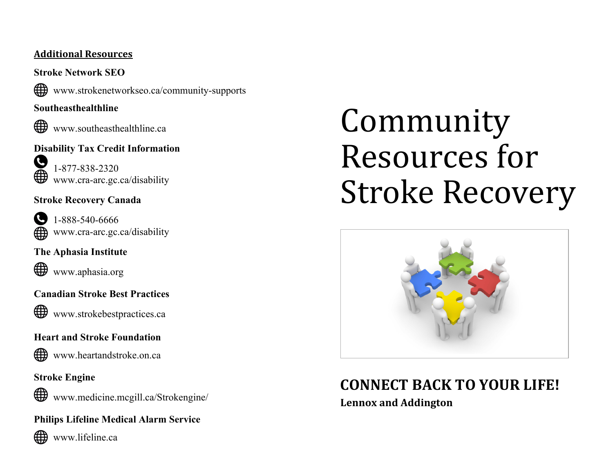#### **Additional Resources**

**Stroke Network SEO**  ∰ www.strokenetworkseo.ca/community-supports

#### **Southeasthealthline**



www.southeasthealthline.ca



**S** 1-877-838-2320 www.cra-arc.gc.ca/disability

#### **Stroke Recovery Canada**



1-888-540-6666 www.cra-arc.gc.ca/disability

#### **The Aphasia Institute**



www.aphasia.org

#### **Canadian Stroke Best Practices**

∰ www.strokebestpractices.ca

#### **Heart and Stroke Foundation**



www.heartandstroke.on.ca

#### **Stroke Engine**

⊕ www.medicine.mcgill.ca/Strokengine/

#### **Philips Lifeline Medical Alarm Service**



www.lifeline.ca

# Community Resources for Stroke Recovery



# **CONNECT BACK TO YOUR LIFE!**

**Lennox and Addington**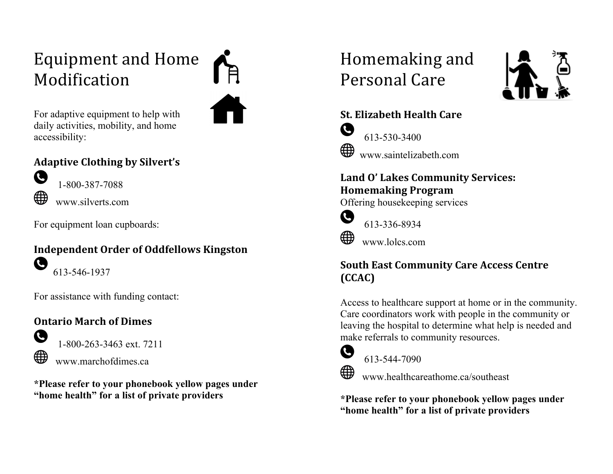## Equipment and Home Modification

For adaptive equipment to help with daily activities, mobility, and home accessibility:

#### **Adaptive Clothing by Silvert's**



1-800-387-7088 www.silverts.com

For equipment loan cupboards:

#### **Independent Order of Oddfellows Kingston** Ø 613-546-1937

For assistance with funding contact:

#### **Ontario March of Dimes**



1-800-263-3463 ext. 7211 www.marchofdimes.ca

**\*Please refer to your phonebook yellow pages under "home health" for a list of private providers**

## Homemaking and Personal Care



#### **St. Elizabeth Health Care** G 613-530-3400 ∰ www.saintelizabeth.com

#### Land O' Lakes Community Services: **Homemaking Program**

Offering housekeeping services



613-336-8934

www.lolcs.com

#### **South East Community Care Access Centre (CCAC)**

Access to healthcare support at home or in the community. Care coordinators work with people in the community or leaving the hospital to determine what help is needed and make referrals to community resources.



613-544-7090

www.healthcareathome.ca/southeast

**\*Please refer to your phonebook yellow pages under "home health" for a list of private providers**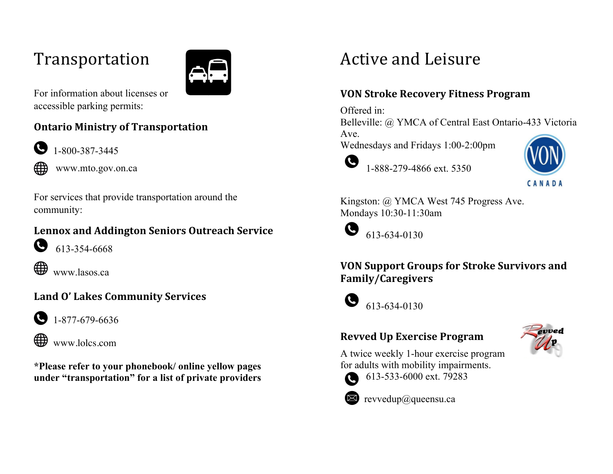### Transportation



For information about licenses or accessible parking permits:

#### **Ontario Ministry of Transportation**



1-800-387-3445



www.mto.gov.on.ca

For services that provide transportation around the community:

#### **Lennox and Addington Seniors Outreach Service**



 $\bullet$  613-354-6668



www.lasos.ca

### **Land O' Lakes Community Services**



 $\bigodot$  1-877-679-6636



**\*Please refer to your phonebook/ online yellow pages under "transportation" for a list of private providers** 

### Active and Leisure

#### **VON Stroke Recovery Fitness Program**

Offered in:

Belleville: @ YMCA of Central East Ontario-433 Victoria

Ave.

Wednesdays and Fridays 1:00-2:00pm



1-888-279-4866 ext. 5350



Kingston: @ YMCA West 745 Progress Ave. Mondays 10:30-11:30am



613-634-0130

#### **VON Support Groups for Stroke Survivors and Family/Caregivers**



613-634-0130

### **Revved Up Exercise Program**



A twice weekly 1-hour exercise program for adults with mobility impairments.



613-533-6000 ext. 79283



revvedup@queensu.ca